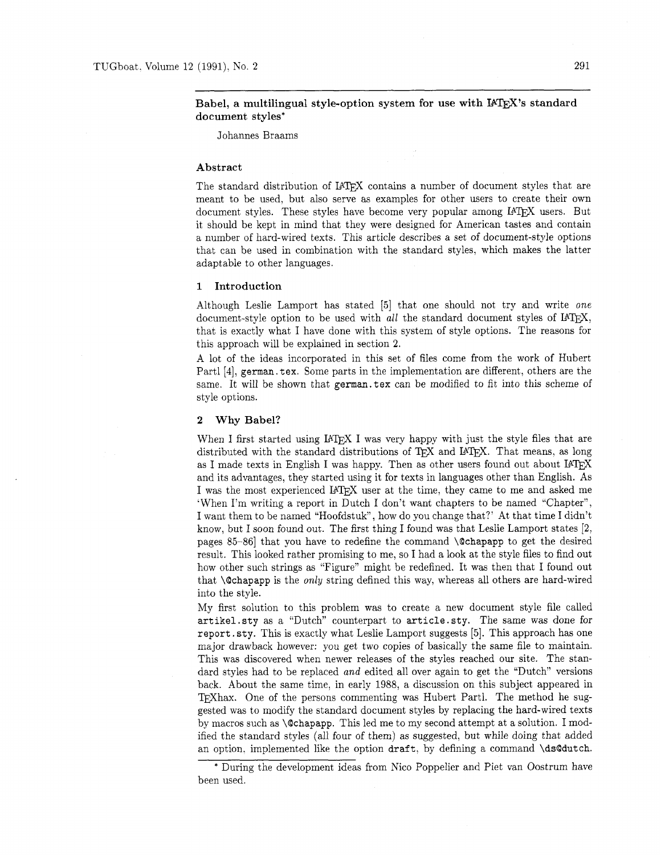# Babel, a multilingual style-option system for use with IATEX's standard document styles\*

Johannes Braams

### Abstract

The standard distribution of IATFX contains a number of document styles that are meant to be used, but also serve as examples for other users to create their own document styles. These styles have become very popular among IAT<sub>E</sub>X users. But it should be kept in mind that they were designed for American tastes and contain a number of hard-wired texts. This article describes a set of document-style options that can be used in combination with the standard styles, which makes the latter adaptable to other languages.

# 1 Introduction

Although Leslie Lamport has stated [5] that one should not try and write one document-style option to be used with all the standard document styles of IATEX, that is exactly what I have done with this system of style options. The reasons for this approach will be explained in section **2.** 

A lot of the ideas incorporated in this set of files come from the work of Hubert Partl [4], **german.** tex. Some parts in the implementation are different, others are the same. It will be shown that german.tex can be modified to fit into this scheme of style options.

#### 2 Why Babel?

When I first started using IAT<sub>EX</sub> I was very happy with just the style files that are distributed with the standard distributions of TEX and IATEX. That means, as long as I made texts in English I was happy. Then as other users found out about  $IATpX$ and its advantages, they started using it for texts in languages other than English. As I was the most experienced IATFX user at the time, they came to me and asked me 'When I'm writing a report in Dutch I don't want chapters to be named "Chapter", I want them to be named "Hoofdstuk", how do you change that?' At that time I didn't know, but I soon found out. The first thing I found was that Leslie Lamport states **[2,**  pages 85-86] that you have to redefine the command \Qchapapp to get the desired result. This looked rather promising to me, so I had a look at the style files to find out how other such strings as "Figure" might be redefined. It was then that I found out that  $\Diamond$  chapapp is the *only* string defined this way, whereas all others are hard-wired into the style.

My first solution to this problem was to create a new document style file called artikel. sty as a "Dutch" counterpart to article. sty. The same was done for report. sty. This is exactly what Leslie Lamport suggests  $[5]$ . This approach has one major drawback however: you get two copies of basically the same file to maintain. This was discovered when newer releases of the styles reached our site. The standard styles had to be replaced and edited all over again to get the "Dutch" versions back. About the same time, in early 1988, a discussion on this subject appeared in TFXhax. One of the persons commenting was Hubert Partl. The method he suggested was to modify the standard document styles by replacing the hard-wired texts by macros such as \Qchapapp. This led me to my second attempt at a solution. I modified the standard styles (all four of them) as suggested, but while doing that added an option. implemented like the option draft, by defining a command \dsQdutch.

<sup>\*</sup> During the development ideas from Nico Poppelier and Piet van Oostrum have been used.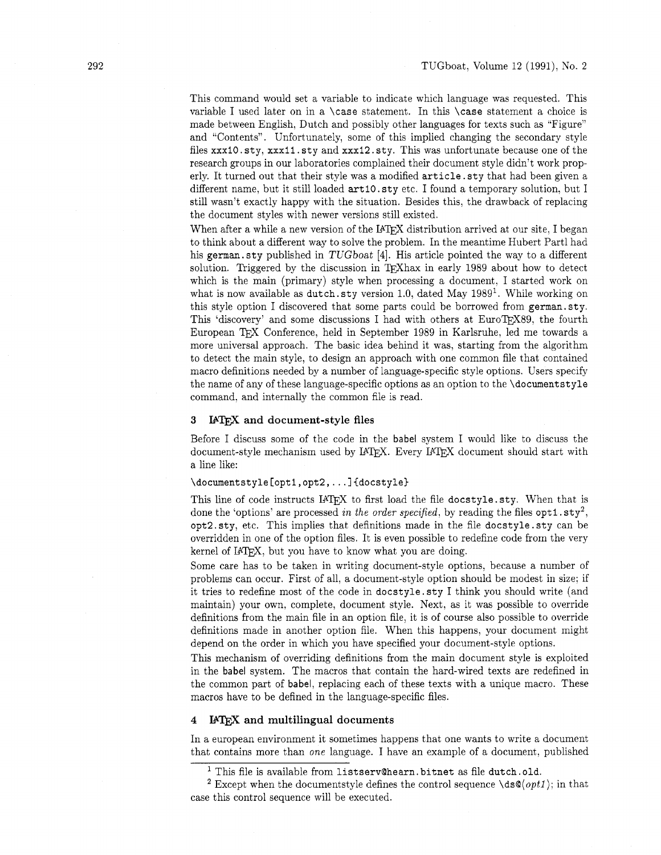This command would set a variable to indicate which language was requested. This variable I used later on in a \case statement. In this \case statement a choice is made between English, Dutch and possibly other languages for texts such as "Figure" and "Contents". Unfortunately, some of this implied changing the secondary style files xxxlO.sty, xxxll .sty and xxxl2.sty. This was unfortunate because one of the research groups in our laboratories complained their document style didn't work properly. It turned out that their style was a modified article.sty that had been given a different name, but it still loaded art10. sty etc. I found a temporary solution, but I still wasn't exactly happy with the situation. Besides this, the drawback of replacing the document styles with newer versions still existed.

When after a while a new version of the  $I\llap{/}T\llap{/}\sim$  distribution arrived at our site, I began to think about a different way to solve the problem. In the meantime Hubert Part1 had his german.sty published in TUGboat [4]. His article pointed the way to a different solution. Triggered by the discussion in TFXhax in early 1989 about how to detect which is the main (primary) style when processing a document, I started work on what is now available as dutch.sty version 1.0, dated May  $1989<sup>1</sup>$ . While working on this style option I discovered that some parts could be borrowed from german. sty. This 'discovery' and some discussions I had with others at EuroTEX89, the fourth European TEX Conference, held in September 1989 in Karlsruhe, led me towards a more universal approach. The basic idea behind it was, starting from the algorithm to detect the main style, to design an approach with one common file that contained macro definitions needed by a number of language-specific style options. Users specify the name of any of these language-specific options as an option to the \documentstyle command. and internally the common file is read.

#### **3 IATEX** and document-style files

Before I discuss some of the code in the babel system I would like to discuss the document-style mechanism used by IATEX. Every IATEX document should start with a line like:

# \documentstyle[opt1,opt2,...]{docstyle}

This line of code instructs IATFX to first load the file docstyle.sty. When that is done the 'options' are processed in the order specified, by reading the files  $opt1.sty^2$ , opt2.styl etc. This implies that definitions made in the file docstyle.sty can be overridden in one of the option files. It is even possible to redefine code from the very kernel of IATEX, but you have to know what you are doing.

Some care has to be taken in writing document-style options, because a number of problems can occur. First of all, a document-style option should be modest in size; if it tries to redefine most of the code in docstyle.sty I think you should write (and maintain) your own, complete, document style. Next, as it was possible to override definitions from the main file in an option file, it is of course also possible to override definitions made in another option file. When this happens, your document might depend on the order in which you have specified your document-style options.

This mechanism of overriding definitions from the main document style is exploited in the babel system. The macros that contain the hard-wired texts are redefined in the common part of babel, replacing each of these texts with a unique macro. These macros have to be defined in the language-specific files.

# **4** IAT<sub>F</sub>X and multilingual documents

In a european environment it sometimes happens that one wants to write a document that contains more than one language. I have an example of a document, published

 $1$  This file is available from listserv@hearn. bitnet as file dutch.old.

<sup>&</sup>lt;sup>2</sup> Except when the documentstyle defines the control sequence  $\dagger$ ds $\mathcal{Q}(opt1)$ ; in that case this control sequence will be executed.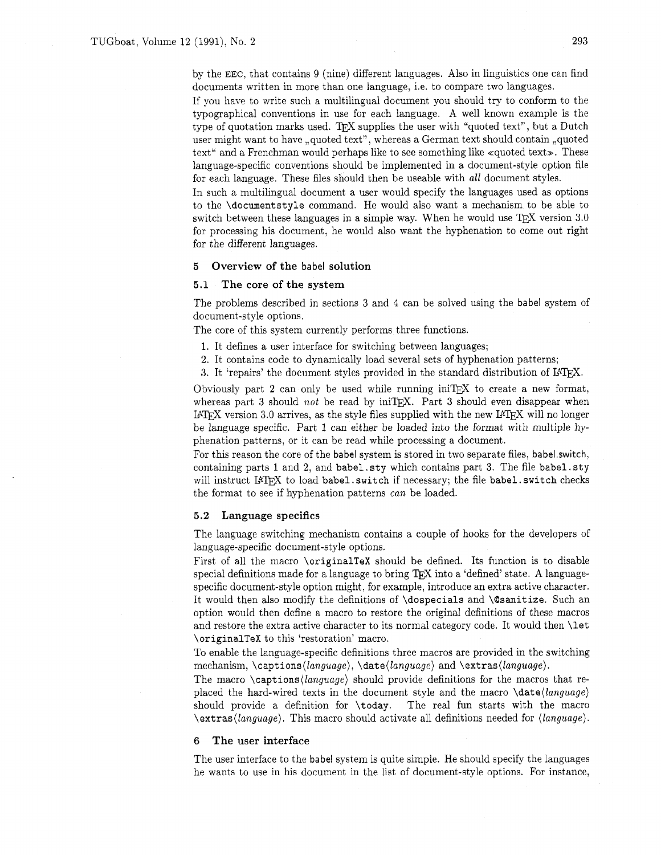by the EEC, that contains 9 (nine) different languages. Also in linguistics one can find documents written in more than one language, i.e. to compare two languages.

If you have to write such a multilingual document you should try to conform to the typographical conventions in use for each language. A well known example is the type of quotation marks used. TFX supplies the user with "quoted text", but a Dutch user might want to have ,,quoted text", whereas a German text should contain ,,quoted text" and a Frenchman would perhaps like to see something like <quoted text>. These language-specific conventions should be implemented in a document-style option file for each language. These files should then be useable with  $all$  document styles.

In such a multilingual document a user would specify the languages used as options to the \documentstyle command. He would also want a mechanism to be able to switch between these languages in a simple way. When he would use  $T<sub>E</sub>X$  version 3.0 for processing his document, he would also want the hyphenation to come out right for the different languages.

# **5** Overview of the babel solution

## **5.1** The core of the system

The problems described in sections 3 and 4 can be solved using the babel system of document-style options.

The core of this system currently performs three functions.

- 1. It defines a user interface for switching between languages;
- 2. It contains code to dynamically load several sets of hyphenation patterns;
- 3. It 'repairs' the document styles provided in the standard distribution of IPW.

Obviously part 2 can only be used while running in  $TFX$  to create a new format, whereas part 3 should not be read by  $\text{inifpX.}$  Part 3 should even disappear when IATEX version 3.0 arrives, as the style files supplied with the new IATEX will no longer be language specific. Part 1 can either be loaded into the format with multiple hyphenation patterns, or it can be read while processing a document.

For this reason the core of the babel system is stored in two separate files, babel.switch, containing parts 1 and 2, and babel. sty which contains part 3. The file babel. sty will instruct IATEX to load babel. switch if necessary; the file babel. switch checks the format to see if hyphenation patterns can be loaded.

# 5.2 Language specifics

The language switching mechanism contains a couple of hooks for the developers of language-specific document-style options.

First of all the macro \originalTeX should be defined. Its function is to disable special definitions made for a language to bring  $T<sub>F</sub>X$  into a 'defined' state. A languagespecific document-style option might, for example, introduce an extra active character. It would then also modify the definitions of \dospecials and \@sanitize. Such an option would then define a macro to restore the original definitions of these macros and restore the extra active character to its normal category code. It would then \let \originalTeX to this 'restoration' macro.

To enable the language-specific definitions three macros are provided in the switching mechanism, \captions(language), \date(language) and \extras(language).

The macro \captions(language) should provide definitions for the macros that replaced the hard-wired texts in the document style and the macro  $\langle \text{data}(\text{language}) \rangle$ should provide a definition for \today. The real fun starts with the macro  $\text{text}(\text{language})$ . This macro should activate all definitions needed for  $\langle \text{language} \rangle$ .

#### 6 The user interface

The user interface to the babel system is quite simple. He should specify the languages he wants to use in his document in the list of document-style options. For instance,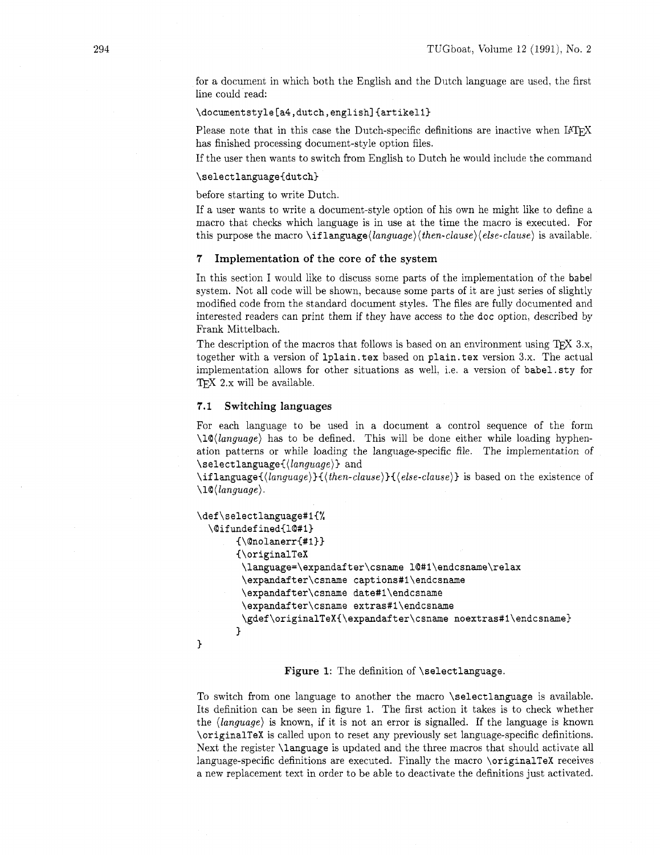for a document in which both the English and the Dutch language are used. the first line could read:

\documentstyle[a4,dutch,english]{artikel1}<br>Please note that in this case the Dutch-specific definitions are inactive when IATFX has finished processing document-style option files.

If the user then wants to switch from English to Dutch he would include the command

# \selectlanguage{dutch}

before starting to write Dutch.

If a user wants to write a document-style option of his own he might like to define a macro that checks which language is in use at the time the macro is executed. For this purpose the macro  $\iff$   $\langle \langle \theta |$   $\rangle \langle \theta |$   $\rangle \langle \theta |$   $\rangle \langle \theta |$   $\rangle \langle \theta |$  is available.

#### **7** Implementation of the core of the system

In this section I would like to discuss some parts of the implementation of the babel system. Not all code will be shown, because some parts of it are just series of slightly modified code from the standard document styles. The files are fully documented and interested readers can print them if they have access to the **doc** option, described by Frank Mittelbach.

The description of the macros that follows is based on an environment using T<sub>E</sub>X 3.x, together with a version of **1plain.tex** based on **plain. tex** version 3.x. The actual implementation allows for other situations as well, i.e. a version of **babel.** sty for  $TK 2.x$  will be available.

# **7.1** Switching languages

For each language to be used in a document a control sequence of the form **\lQ(language)** has to be defined. This will be done either while loading hyphenation patterns or while loading the language-specific file. The implementation of **\selectlanguagei(language))** and

\iflanguage{(language)}{(then-clause)}{(else-clause)} is based on the existence of  $\langle$ **l**@ $\langle$ *language* $\rangle$ .

```
\def\selectlanguage#1{%
  \@ifundefined{1@#1}
       {\Omega}{\originalTeX
        \language=\expandafter\csname l@#1\endcsname\relax
        \expandafter\csname captions#1\endcsname
        \expandafter\csname date#1\endcsname
        \expandafter\csname extras#1\endcsname
        \gdef\originalTeX{\expandafter\csname noextras#1\endcsname}
       ł.
\mathcal{F}
```
## Figure 1: The definition of **\selectlanguage.**

To switch from one language to another the macro **\selectlanguage** is available. Its definition can be seen in figure 1. The first action it takes is to check whether the **(language)** is known, if it is not an error is signalled. If the language is known **\originalTeX** is called upon to reset any previously set language-specific definitions. Next the register **\language** is updated and the three macros that should activate all language-specific definitions are executed. Finally the macro **\originalTeX** receives a new replacement text in order to be able to deactivate the definitions just activated.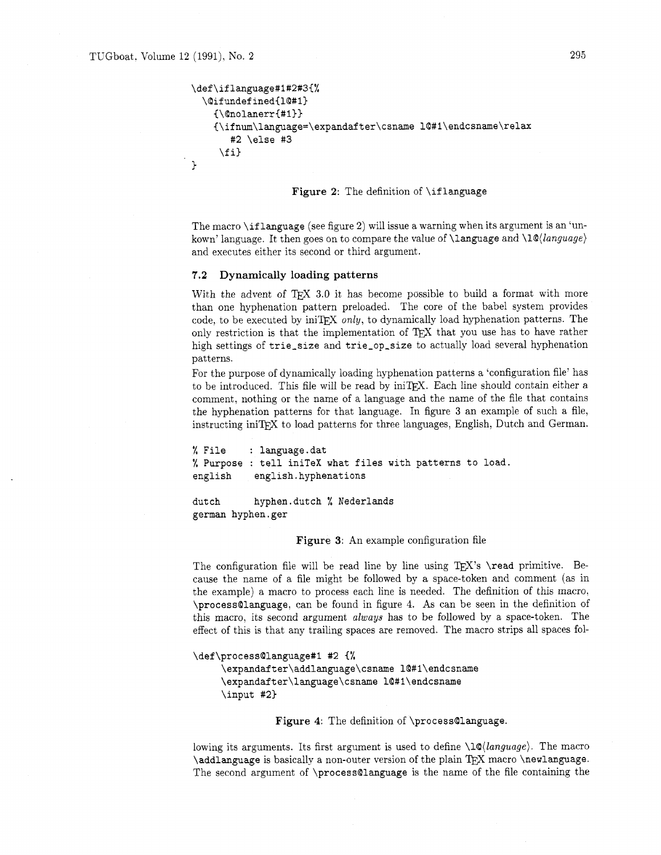```
\def\iflanguage#1#2#3{%
  \@ifundefined{1@#1}
    {\Omega}{\ifnum\language=\expandafter\csname l@#1\endcsname\relax
       #2 \else #3
     \{f_i\}\mathcal{P}
```
## **Figure 2:** The definition of **\iflanguage**

The macro **\if language** (see figure **2)** will issue a warning when its argument is an 'unkown' language. It then goes on to compare the value of **\language** and **\lQ(language}**  and executes either its second or third argument.

# **7.2 Dynamically loading patterns**

With the advent of  $TK 3.0$  it has become possible to build a format with more than one hyphenation pattern preloaded. The core of the babel system provides code, to be executed by iniTEX only, to dynamically load hyphenation patterns. The only restriction is that the implementation of TEX that you use has to have rather high settings of **trie-size** and **trie-op-size** to actually load several hyphenation patterns.

For the purpose of dynamically loading hyphenation patterns a 'configuration file' has to be introduced. This file will be read by iniTpX. Each line should contain either a comment, nothing or the name of a language and the name of the file that contains the hyphenation patterns for that language. In figure **3** an example of such a file, instructing iniTFX to load patterns for three languages, English, Dutch and German.

% **File** : **language .dat**  % **Purpose** : **tell iniTeX what files with patterns to load english english.hyphenations** 

**dutch hyphen.dutch** % **Nederlands german hyphen.ger** 

**Figure 3:** An example configuration file

The configuration file will be read line by line using TFX's **\read** primitive. Because the name of a file might be followed by a space-token and comment (as in the example) a macro to process each line is needed. The definition of this macro, **\processQlanguage,** can be found in figure 4. As can be seen in the definition of this macro, its second argument **always** has to be followed by a space-token. The effect of this is that any trailing spaces are removed. The macro strips all spaces fol-

```
\def\process@language#1 #2 {%
```
\expandafter\addlanguage\csname 10#1\endcsname \expandafter\language\csname l@#1\endcsname \input #2}

**Figure 4:** The definition of **\processQlanguage.** 

lowing its arguments. Its first argument is used to define **\lQ(language)**. The macro **\addlanguage** is basically a non-outer version of the plain *QjX* macro **\newlanguage.**  The second argument of **\processQlanguage** is the name of the file containing the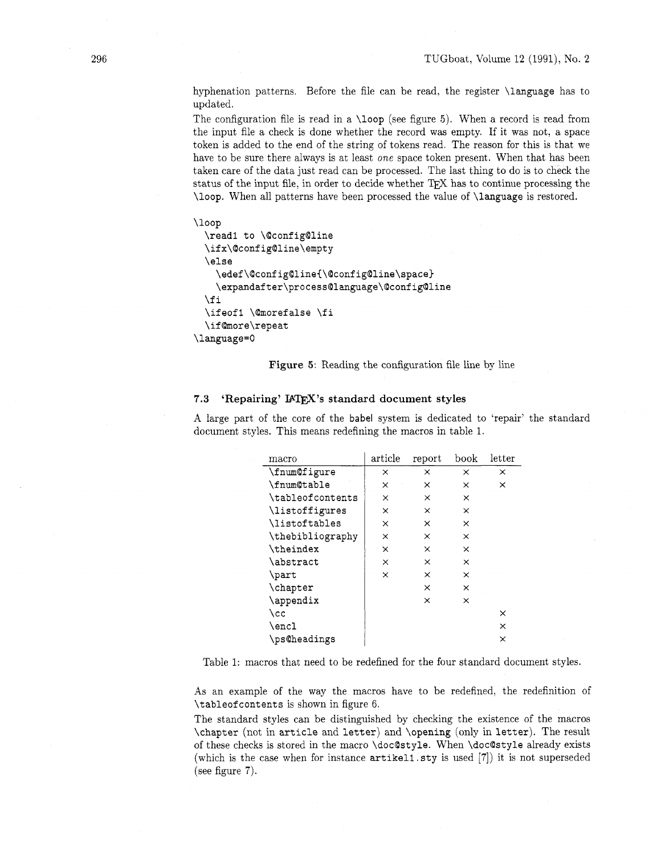hyphenation patterns. Before the file can be read, the register \language has to updated.

The configuration file is read in a \loop (see figure 5). When a record is read from the input file a check is done whether the record was empty. If it was not, a space token is added to the end of the string of tokens read. The reason for this is that we have to be sure there always is at least *one* space token present. When that has been taken care of the data just read can be processed. The last thing to do is to check the status of the input file, in order to decide whether  $T_{\rm F}X$  has to continue processing the \loop. When all patterns have been processed the value of \language is restored.

```
\loop
  \read1 to \@config@line
 \ifx\@config@line\empty
 \else
    \edef\@config@line{\@config@line\space}
    \expandafter\process@language\@config@line
 \fi
  \ifeof1 \@morefalse \fi
  \if@more\repeat
\language=0
```
Figure 5: Reading the configuration file line by line

# 7.3 **'Repairing' IATEX's standard document styles**

A large part of the core of the babel system is dedicated to 'repair' the standard document styles. This means redefining the macros in table 1.

| macro            | article  | report   | book     | $_{\rm letter}$ |
|------------------|----------|----------|----------|-----------------|
| \fnum@figure     | ×        | ×        | ×        | ×               |
| \fnum@table      | ×        | ×        | ×        | $\times$        |
| \tableofcontents | ×        | ×        | ×        |                 |
| \listoffigures   | $\times$ | $\times$ | $\times$ |                 |
| \listoftables    | X        | ×        | $\times$ |                 |
| \thebibliography | $\times$ | ×        | ×        |                 |
| \theindex        | ×        | X        | ×        |                 |
| \abstract        | ×        | $\times$ | ×        |                 |
| \part            | $\times$ | ×        | ×        |                 |
| \chapter         |          | ×        | ×        |                 |
| \appendix        |          | $\times$ | ×        |                 |
| \cc              |          |          |          | ×               |
| \encl            |          |          |          | ×               |
| \ps@headings     |          |          |          | ×               |

Table 1: macros that need to be redefined for the four standard document styles.

As an example of the way the macros have to be redefined, the redefinition of \tableof contents is shown in figure 6.

The standard styles can be distinguished by checking the existence of the macros \chapter (not in article and letter) and \opening (only in letter). The result of these checks is stored in the macro \docOstyle. When \doc@style already exists (which is the case when for instance artikel1.sty is used [7]) it is not superseded (see figure 7).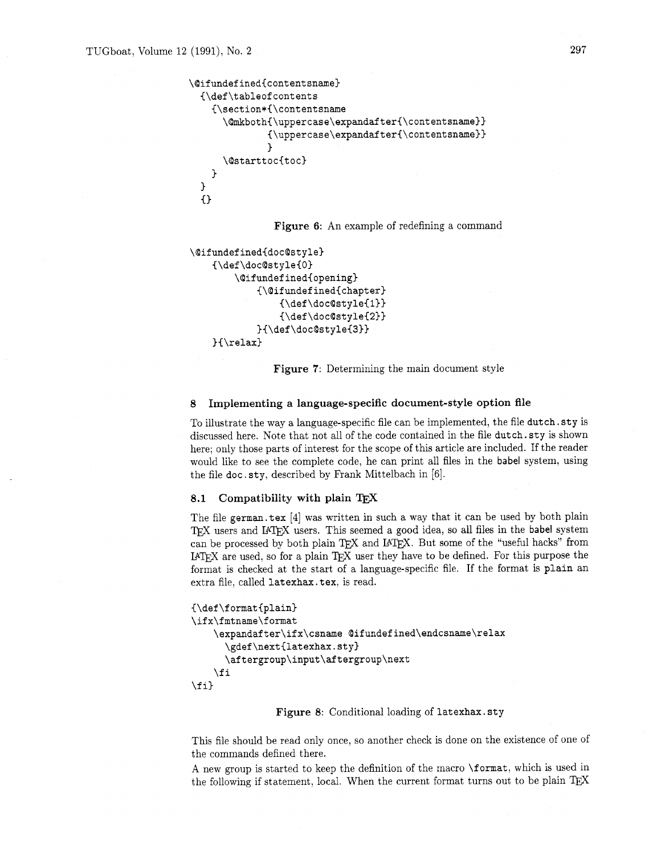```
\@ifundefined{contentsname}
  (\def \tableof contents 
    C\section*C\contentsname 
      \@mkboth{\uppercase\expandafter{\contentsname}}
               (\uppercase\expandafter(\contentsname)) 
               J.
      \@starttoc{toc}
    \mathcal{F}J.
  \{\}
```
**Figure 6:** An example of redefining a command

```
\@ifundefined{doc@style}
    {\def\doc@style{0}
        \@ifundefined{opening}
             {\@ifundefined{chapter}
                  {\def\odot\csc{style1}}\{\det\downarrow\ddot{\text{c}}\}{\def\doc@style{3}}
    } \telax}
```
**Figure 7:** Determining the main document style

# 8 **Implementing a language-specific document-style option file**

To illustrate the way a language-specific file can be implemented, the file **dutch. sty** is discussed here. Note that not all of the code contained in the file **dutch. sty** is shown here; only those parts of interest for the scope of this article are included. If the reader would like to see the complete code, he can print all files in the babel system, using the file **doc. sty,** described by Frank Mittelbach in [6].

# **8.1 Compatibility with plain** TEX

The file german. tex [4] was written in such a way that it can be used by both plain IEX users and I4TEX users. This seemed a good idea, so all files in the babel system in TEX users and I4TEX users. This seemed a good ide TEX users and I4TEX users. This seemed a good idea, so all files in the babel system can be processed by both plain TEX and I4TEX. But some of the "useful hacks" from IATEX are used, so for a plain TEX user they have to be defined. For this purpose the format is checked at the start of a language-specific file. If the format is **plain** an extra file, called **latexhax. tex,** is read.

```
{\def\format{plain}
\ifx\fmtname\format
    \expandafter\ifx\csname @ifundefined\endcsname\relax
      \gdef\next{latexhax.sty}
      \aftergroup\input\aftergroup\next
    \fi
\fi}
```
## **Figure 8:** Conditional loading of **latexhax. sty**

This file should be read only once, so another check is done on the existence of one of the commands defined there.

A new group is started to keep the definition of the macro **\format,** which is used in the following if statement, local. When the current format turns out to be plain T<sub>E</sub>X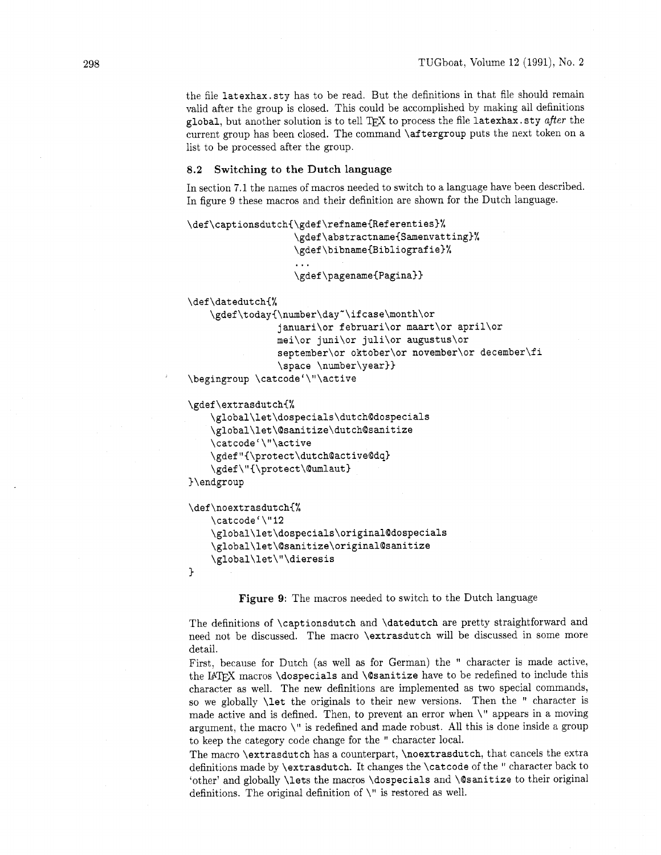the file **latexhax. sty** has to be read. But the definitions in that file should remain valid after the group is closed. This could be accomplished by making all definitions **global,** but another solution is to tell to process the file **latexhax. sty** after the current group has been closed. The command **\aftergroup** puts the next token on a list to be processed after the group.

## **8.2 Switching to the Dutch language**

In section 7.1 the names of macros needed to switch to a language have been described. In figure 9 these macros and their definition are shown for the Dutch language.

```
\def\captionsdutch{\gdef\refname{Referenties}%
                   \gdef\abstractname{Samenvatting}%
                   \gdef\bibname{Bibliografie}%
                   \gdef\pagename{Pagina}}
\def\datedutch{%
   \gdef\today{\number\day"\ifcase\month\or
                januari\or februari\or maart\or april\or
                mei\or juni\or juli\or augustus\or
                september\or oktober\or november\or december\fi
                \space \number\year}}
\begingroup \catcode'\"\active
```
## **\gdef\extrasdutchC%**

```
\global\let\dospecials\dutch@dospecials 
    \global\let\@sanitize\dutch@sanitize 
    \cat code' \"\active 
    \gdef"I\protect\dutch@active@dq3 
    \gdef \"C\protect\@umlaut) 
)\endgroup
```

```
\def\noextrasdutch{%
    \catcode'\"12
    \global\let\dospecials\original@dospecials
    \global\let\@sanitize\original@sanitize
    \global\let\"\dieresis
\mathbf{1}
```

```
Figure 9: The macros needed to switch to the Dutch language
```
The definitions of **\captionsdutch** and **\datedutch** are pretty straightforward and need not be discussed. The macro **\extrasdutch** will be discussed in some more detail.

First, because for Dutch (as well as for German) the " character is made active, the IAT<sub>F</sub>X macros **\dospecials** and **\@sanitize** have to be redefined to include this character as well. The new definitions are implemented as two special commands, so we globally **\let** the originals to their new versions. Then the " character is made active and is defined. Then, to prevent an error when \" appears in a moving argument, the macro \" is redefined and made robust. All this is done inside a group to keep the category code change for the " character local.

The macro **\extrasdutch** has a counterpart, **\noextrasdutch,** that cancels the extra definitions made by **\extrasdutch.** It changes the **\catcode** of the " character back to 'other' and globally **\lets** the macros **\dospecials** and **\@sanitize** to their original definitions. The original definition of  $\Upsilon$  is restored as well.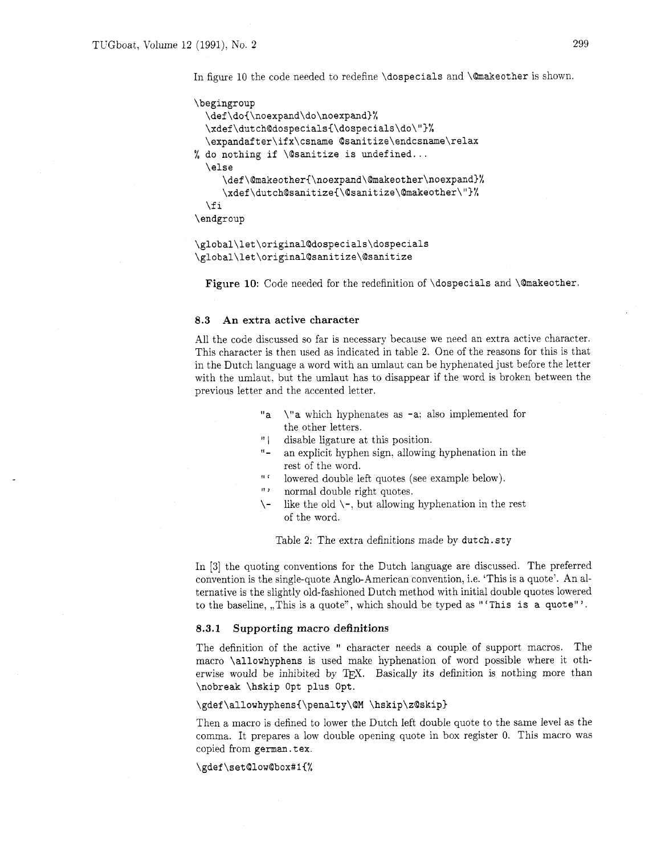In figure 10 the code needed to redefine **\dospecials** and **\@makeother** is shown.

```
\begingroup 
  \def\doC\noexpand\do\noexpand)% 
  \xdef\dutch@dospeciaIs(\dospecials\do\"~% 
  \expandafter\ifx\csname Qsanitize\endcsname\relax 
% do nothing if \@sanitize is undefined ... 
  \else 
     \def \@rnakeother~\noexpand\~makeother\noexpand~% 
     \xdef\dutch@sanitize{\@sanitize\@makeother\"}%
  \f i 
\endgroup
```

```
\global\let\original@dospecials\dospecials
\global\let\original@sanitize\@sanitize
```
**Figure 10:** Code needed for the redefinition of **\dospecials** and **\@makeother.** 

# **8.3 An extra active character**

All the code discussed so far is necessary because we need an extra active character. This character is then used as indicated in table 2. One of the reasons for this is that in the Dutch language a word with an umlaut can be hyphenated just before the letter with the umlaut, but the umlaut has to disappear if the word is broken between the previous letter and the accented letter.

- **"a \"a** which hyphenates as **-a:** also implemented for the other letters.
- " | disable ligature at this position.
- <sup>11</sup> an explicit hyphen sign. allowing hyphenation in the rest of the word.
- " ' lowered double left quotes (see example below).
- " normal double right quotes.
- $\setminus$  like the old  $\setminus$ -, but allowing hyphenation in the rest of the word.

Table **2:** The extra definitions made by **dutch. sty** 

In **[3]** the quoting conventions for the Dutch language are discussed. The preferred convention is the single-quote Anglo-American convention, i.e. 'This is a quote'. An alternative is the slightly old-fashioned Dutch method with initial double quotes lowered to the baseline, ,,This is a quote", which should be typed as **'This is a quote"** '.

#### **8.3.1 Supporting macro definitions**

The definition of the active " character needs a couple of support macros. The macro **\allowhyphens** is used make hyphenation of word possible where it otherwise would be inhibited by  $T_{\rm F}X$ . Basically its definition is nothing more than **\nobreak \hskip Opt plus Opt.** 

#### \gdef\allowhyphens{\penalty\@M \hskip\z@skip}

Then a macro is defined to lower the Dutch left double quote to the same level as the comma. It prepares a low double opening quote in box register 0. This macro was copied from german.tex.

**\gdef\set@low@box#1~%**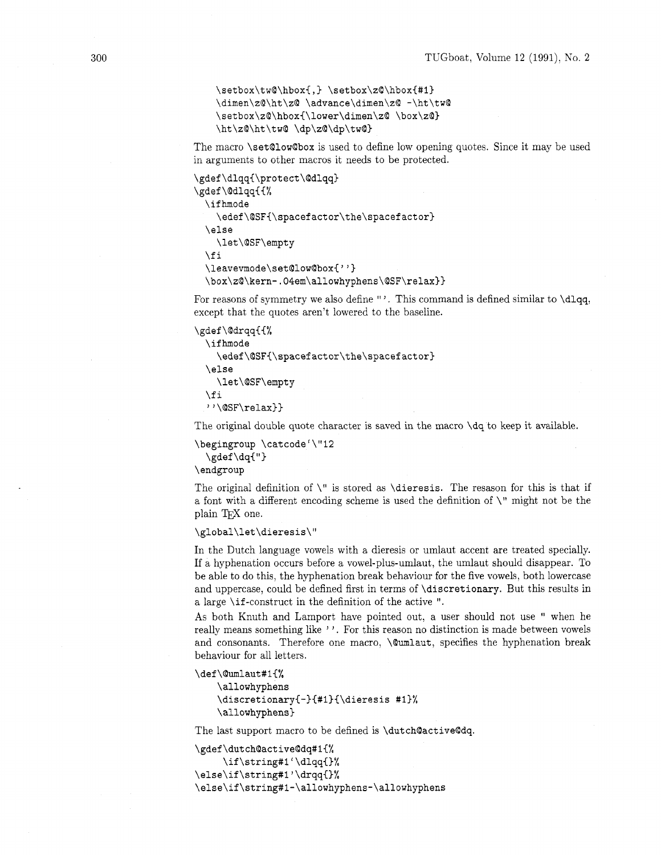```
\setbox\tw@\hbox{,} \setbox\z@\hbox{#1}
\dimen\z@\ht\z@ \advance\dimen\z@ -\ht\tw@
\setbox\z@\hbox{\lower\dimen\z@ \box\z@}
\ht\z@\ht\tw@ \dp\z@\dp\tw@}
```
The macro **\set@lowQbox** is used to define low opening quotes. Since it may be used in arguments to other macros it needs to be protected.

```
\gdef\dlqq{\protect\@dlqq}
\gdef\@dlqq{{%
  \ifhmode
    \edef\@SF{\spacefactor\the\spacefactor}
  \else
    \let\@SF\empty
  \fi
  \leavevmode\set@low@box{''}
  \box\z@\kern-.04em\allowhyphens\@SF\relax}}
```
For reasons of symmetry we also define "'. This command is defined similar to **\dlqq**, except that the quotes aren't lowered to the baseline.

```
\gdef \@drqqC(% 
  \if hmode 
    \edef \QSFi\spacef actor\the\spacef actor} 
  \else 
    \let\@SF\empty 
  \f i 
  "\@SF\relax))
```
The original double quote character is saved in the macro **\dq** to keep it available.

```
\begingroup \catcode'\"l2 
  \gdef\dq{"}
```
\ **endgroup** 

The original definition of \" is stored as **\dieresis.** The resason for this is that if a font with a different encoding scheme is used the definition of \" might not be the plain T<sub>F</sub>X one.

#### \global\let\dieresis\"

In the Dutch language vowels with a dieresis or umlaut accent are treated specially. If a hyphenation occurs before a vowel-plus-umlaut, the umlaut should disappear. To be able to do this, the hyphenation break behaviour for the five vowels, both lowercase and uppercase, could be defined first in terms of **\discretionary.** But this results in a large **\if** -construct in the definition of the active ".

As both Knuth and Lamport have pointed out, a user should not use " when he really means something like ''. For this reason no distinction is made between vowels and consonants. Therefore one macro, **\@umlaut**, specifies the hyphenation break behaviour for all letters.

```
\def\@umlaut#1{%
```

```
\allowhyphens
\discretionary{-}{#1}{\dieresis #1}%
\allowhyphens}
```
The last support macro to be defined is **\dutchQactiveQdq.** 

```
\gdef\dutch@active@dq#1{%
     \if\string#1'\dlqq{}%
\else\if\string#1'\drqq{}%
\else\if\string#1-\allowhyphens-\allowhyphens
```